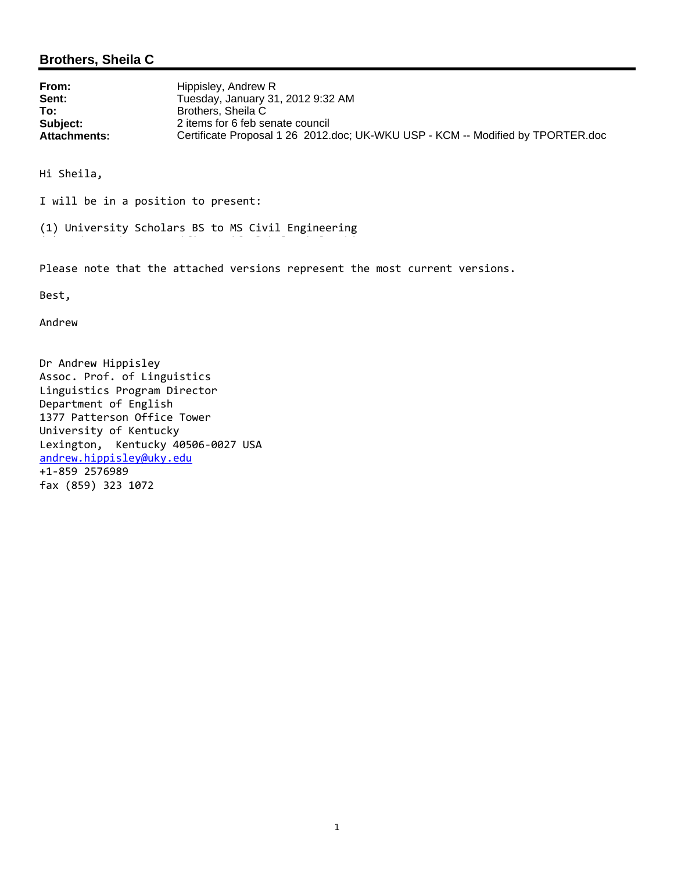#### **Brothers, Sheila C**

| From:               | Hippisley, Andrew R                                                             |
|---------------------|---------------------------------------------------------------------------------|
| Sent:               | Tuesday, January 31, 2012 9:32 AM                                               |
| To:                 | Brothers, Sheila C                                                              |
| Subject:            | 2 items for 6 feb senate council                                                |
| <b>Attachments:</b> | Certificate Proposal 1 26 2012.doc; UK-WKU USP - KCM -- Modified by TPORTER.doc |

Hi Sheila,

I will be in a position to present:

(1) University Scholars BS to MS Civil Engineering

Please note that the attached versions represent the most current versions.

Best,

Andrew

Dr Andrew Hippisley Assoc. Prof. of Linguistics Linguistics Program Director Department of English 1377 Patterson Office Tower University of Kentucky Lexington, Kentucky 40506‐0027 USA andrew.hippisley@uky.edu +1‐859 2576989 fax (859) 323 1072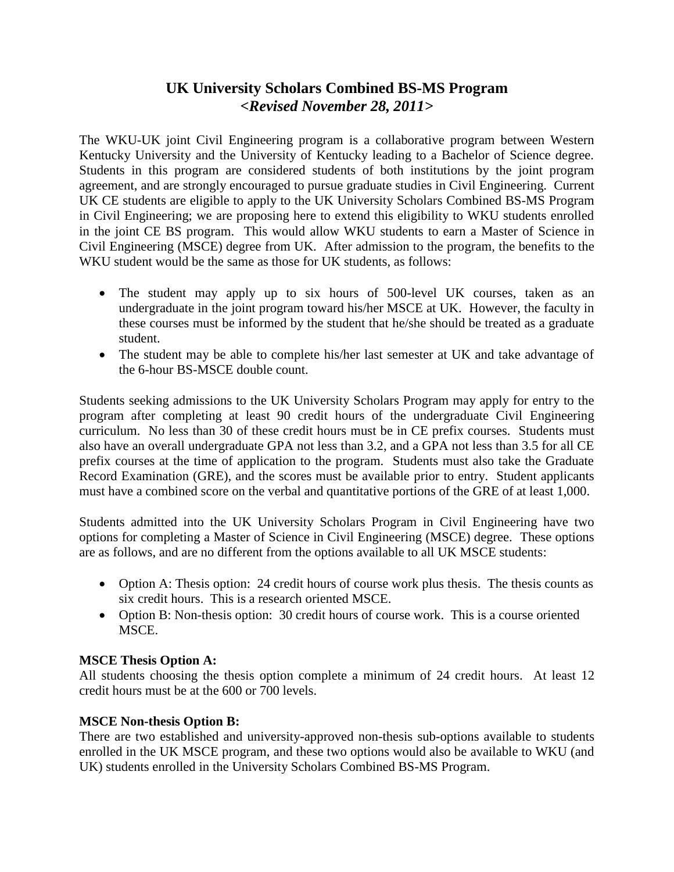# **UK University Scholars Combined BS-MS Program** *<Revised November 28, 2011>*

The WKU-UK joint Civil Engineering program is a collaborative program between Western Kentucky University and the University of Kentucky leading to a Bachelor of Science degree. Students in this program are considered students of both institutions by the joint program agreement, and are strongly encouraged to pursue graduate studies in Civil Engineering. Current UK CE students are eligible to apply to the UK University Scholars Combined BS-MS Program in Civil Engineering; we are proposing here to extend this eligibility to WKU students enrolled in the joint CE BS program. This would allow WKU students to earn a Master of Science in Civil Engineering (MSCE) degree from UK. After admission to the program, the benefits to the WKU student would be the same as those for UK students, as follows:

- The student may apply up to six hours of 500-level UK courses, taken as an undergraduate in the joint program toward his/her MSCE at UK. However, the faculty in these courses must be informed by the student that he/she should be treated as a graduate student.
- The student may be able to complete his/her last semester at UK and take advantage of the 6-hour BS-MSCE double count.

Students seeking admissions to the UK University Scholars Program may apply for entry to the program after completing at least 90 credit hours of the undergraduate Civil Engineering curriculum. No less than 30 of these credit hours must be in CE prefix courses. Students must also have an overall undergraduate GPA not less than 3.2, and a GPA not less than 3.5 for all CE prefix courses at the time of application to the program. Students must also take the Graduate Record Examination (GRE), and the scores must be available prior to entry. Student applicants must have a combined score on the verbal and quantitative portions of the GRE of at least 1,000.

Students admitted into the UK University Scholars Program in Civil Engineering have two options for completing a Master of Science in Civil Engineering (MSCE) degree. These options are as follows, and are no different from the options available to all UK MSCE students:

- Option A: Thesis option: 24 credit hours of course work plus thesis. The thesis counts as six credit hours. This is a research oriented MSCE.
- Option B: Non-thesis option: 30 credit hours of course work. This is a course oriented MSCE.

## **MSCE Thesis Option A:**

All students choosing the thesis option complete a minimum of 24 credit hours. At least 12 credit hours must be at the 600 or 700 levels.

## **MSCE Non-thesis Option B:**

There are two established and university-approved non-thesis sub-options available to students enrolled in the UK MSCE program, and these two options would also be available to WKU (and UK) students enrolled in the University Scholars Combined BS-MS Program.